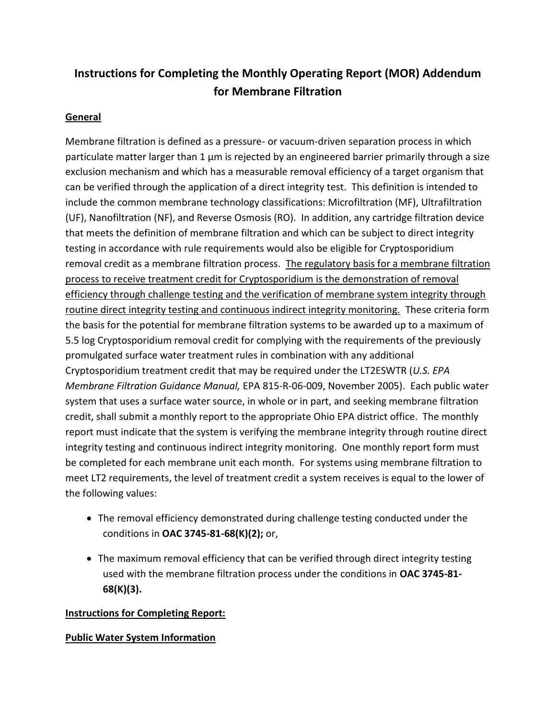# **Instructions for Completing the Monthly Operating Report (MOR) Addendum for Membrane Filtration**

## **General**

Membrane filtration is defined as a pressure- or vacuum-driven separation process in which particulate matter larger than 1  $\mu$ m is rejected by an engineered barrier primarily through a size exclusion mechanism and which has a measurable removal efficiency of a target organism that can be verified through the application of a direct integrity test. This definition is intended to include the common membrane technology classifications: Microfiltration (MF), Ultrafiltration (UF), Nanofiltration (NF), and Reverse Osmosis (RO). In addition, any cartridge filtration device that meets the definition of membrane filtration and which can be subject to direct integrity testing in accordance with rule requirements would also be eligible for Cryptosporidium removal credit as a membrane filtration process. The regulatory basis for a membrane filtration process to receive treatment credit for Cryptosporidium is the demonstration of removal efficiency through challenge testing and the verification of membrane system integrity through routine direct integrity testing and continuous indirect integrity monitoring. These criteria form the basis for the potential for membrane filtration systems to be awarded up to a maximum of 5.5 log Cryptosporidium removal credit for complying with the requirements of the previously promulgated surface water treatment rules in combination with any additional Cryptosporidium treatment credit that may be required under the LT2ESWTR (*U.S. EPA Membrane Filtration Guidance Manual,* EPA 815-R-06-009, November 2005). Each public water system that uses a surface water source, in whole or in part, and seeking membrane filtration credit, shall submit a monthly report to the appropriate Ohio EPA district office. The monthly report must indicate that the system is verifying the membrane integrity through routine direct integrity testing and continuous indirect integrity monitoring. One monthly report form must be completed for each membrane unit each month. For systems using membrane filtration to meet LT2 requirements, the level of treatment credit a system receives is equal to the lower of the following values:

- The removal efficiency demonstrated during challenge testing conducted under the conditions in **OAC 3745-81-68(K)(2);** or,
- The maximum removal efficiency that can be verified through direct integrity testing used with the membrane filtration process under the conditions in **OAC 3745-81- 68(K)(3).**

## **Instructions for Completing Report:**

#### **Public Water System Information**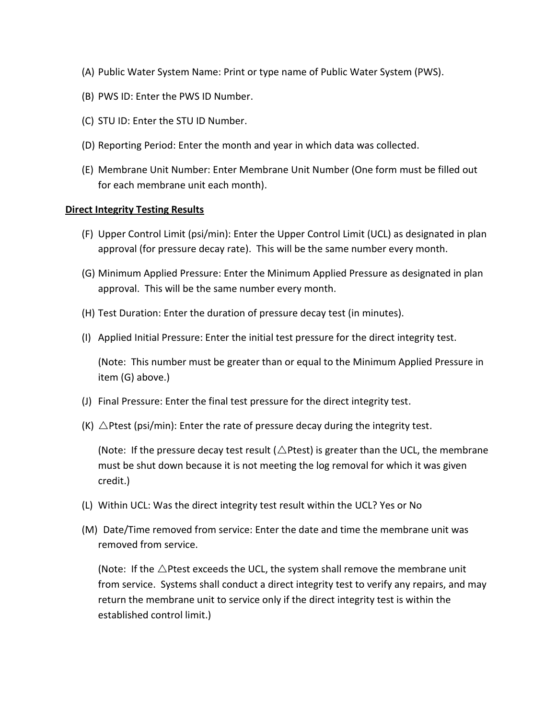- (A) Public Water System Name: Print or type name of Public Water System (PWS).
- (B) PWS ID: Enter the PWS ID Number.
- (C) STU ID: Enter the STU ID Number.
- (D) Reporting Period: Enter the month and year in which data was collected.
- (E) Membrane Unit Number: Enter Membrane Unit Number (One form must be filled out for each membrane unit each month).

#### **Direct Integrity Testing Results**

- (F) Upper Control Limit (psi/min): Enter the Upper Control Limit (UCL) as designated in plan approval (for pressure decay rate). This will be the same number every month.
- (G) Minimum Applied Pressure: Enter the Minimum Applied Pressure as designated in plan approval. This will be the same number every month.
- (H) Test Duration: Enter the duration of pressure decay test (in minutes).
- (I) Applied Initial Pressure: Enter the initial test pressure for the direct integrity test.

(Note: This number must be greater than or equal to the Minimum Applied Pressure in item (G) above.)

- (J) Final Pressure: Enter the final test pressure for the direct integrity test.
- (K)  $\triangle$  Ptest (psi/min): Enter the rate of pressure decay during the integrity test.

(Note: If the pressure decay test result ( $\triangle$ Ptest) is greater than the UCL, the membrane must be shut down because it is not meeting the log removal for which it was given credit.)

- (L) Within UCL: Was the direct integrity test result within the UCL? Yes or No
- (M) Date/Time removed from service: Enter the date and time the membrane unit was removed from service.

(Note: If the  $\triangle$ Ptest exceeds the UCL, the system shall remove the membrane unit from service. Systems shall conduct a direct integrity test to verify any repairs, and may return the membrane unit to service only if the direct integrity test is within the established control limit.)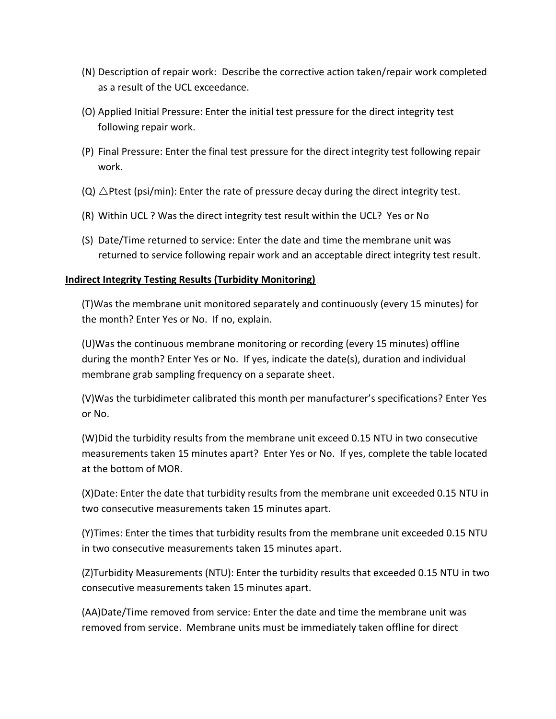- (N) Description of repair work: Describe the corrective action taken/repair work completed as a result of the UCL exceedance.
- (O) Applied Initial Pressure: Enter the initial test pressure for the direct integrity test following repair work.
- (P) Final Pressure: Enter the final test pressure for the direct integrity test following repair work.
- $(Q)$   $\triangle$ Ptest (psi/min): Enter the rate of pressure decay during the direct integrity test.
- (R) Within UCL ? Was the direct integrity test result within the UCL? Yes or No
- (S) Date/Time returned to service: Enter the date and time the membrane unit was returned to service following repair work and an acceptable direct integrity test result.

### **Indirect Integrity Testing Results (Turbidity Monitoring)**

(T)Was the membrane unit monitored separately and continuously (every 15 minutes) for the month? Enter Yes or No. If no, explain.

(U)Was the continuous membrane monitoring or recording (every 15 minutes) offline during the month? Enter Yes or No. If yes, indicate the date(s), duration and individual membrane grab sampling frequency on a separate sheet.

(V)Was the turbidimeter calibrated this month per manufacturer's specifications? Enter Yes or No.

(W)Did the turbidity results from the membrane unit exceed 0.15 NTU in two consecutive measurements taken 15 minutes apart? Enter Yes or No. If yes, complete the table located at the bottom of MOR.

(X)Date: Enter the date that turbidity results from the membrane unit exceeded 0.15 NTU in two consecutive measurements taken 15 minutes apart.

(Y)Times: Enter the times that turbidity results from the membrane unit exceeded 0.15 NTU in two consecutive measurements taken 15 minutes apart.

(Z)Turbidity Measurements (NTU): Enter the turbidity results that exceeded 0.15 NTU in two consecutive measurements taken 15 minutes apart.

(AA)Date/Time removed from service: Enter the date and time the membrane unit was removed from service. Membrane units must be immediately taken offline for direct